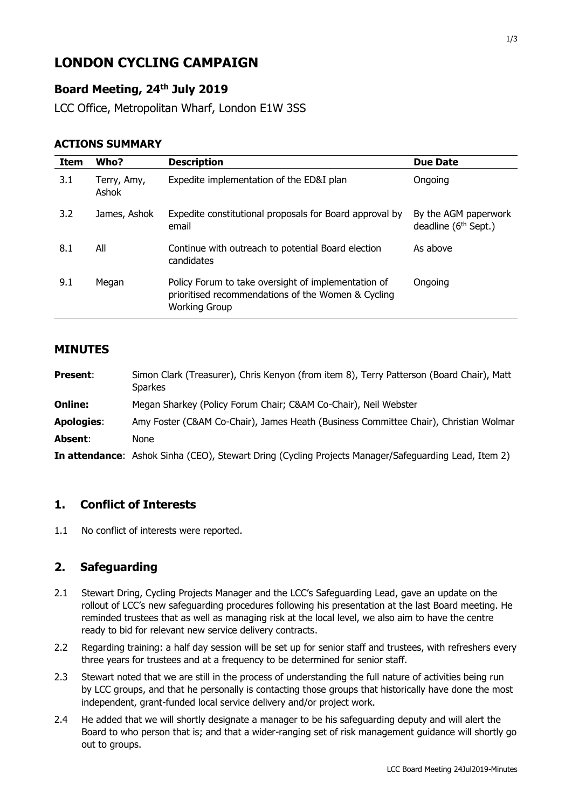# **LONDON CYCLING CAMPAIGN**

## **Board Meeting, 24 th July 2019**

LCC Office, Metropolitan Wharf, London E1W 3SS

#### **ACTIONS SUMMARY**

| Item | Who?                 | <b>Description</b>                                                                                                                | <b>Due Date</b>                                          |
|------|----------------------|-----------------------------------------------------------------------------------------------------------------------------------|----------------------------------------------------------|
| 3.1  | Terry, Amy,<br>Ashok | Expedite implementation of the ED&I plan                                                                                          | Ongoing                                                  |
| 3.2  | James, Ashok         | Expedite constitutional proposals for Board approval by<br>email                                                                  | By the AGM paperwork<br>deadline (6 <sup>th</sup> Sept.) |
| 8.1  | All                  | Continue with outreach to potential Board election<br>candidates                                                                  | As above                                                 |
| 9.1  | Megan                | Policy Forum to take oversight of implementation of<br>prioritised recommendations of the Women & Cycling<br><b>Working Group</b> | Ongoing                                                  |

#### **MINUTES**

| <b>Present:</b>   | Simon Clark (Treasurer), Chris Kenyon (from item 8), Terry Patterson (Board Chair), Matt<br><b>Sparkes</b> |
|-------------------|------------------------------------------------------------------------------------------------------------|
| <b>Online:</b>    | Megan Sharkey (Policy Forum Chair; C&AM Co-Chair), Neil Webster                                            |
| <b>Apologies:</b> | Amy Foster (C&AM Co-Chair), James Heath (Business Committee Chair), Christian Wolmar                       |
| Absent:           | None                                                                                                       |
|                   | In attendance: Ashok Sinha (CEO), Stewart Dring (Cycling Projects Manager/Safeguarding Lead, Item 2)       |

#### **1. Conflict of Interests**

1.1 No conflict of interests were reported.

## **2. Safeguarding**

- 2.1 Stewart Dring, Cycling Projects Manager and the LCC's Safeguarding Lead, gave an update on the rollout of LCC's new safeguarding procedures following his presentation at the last Board meeting. He reminded trustees that as well as managing risk at the local level, we also aim to have the centre ready to bid for relevant new service delivery contracts.
- 2.2 Regarding training: a half day session will be set up for senior staff and trustees, with refreshers every three years for trustees and at a frequency to be determined for senior staff.
- 2.3 Stewart noted that we are still in the process of understanding the full nature of activities being run by LCC groups, and that he personally is contacting those groups that historically have done the most independent, grant-funded local service delivery and/or project work.
- 2.4 He added that we will shortly designate a manager to be his safeguarding deputy and will alert the Board to who person that is; and that a wider-ranging set of risk management guidance will shortly go out to groups.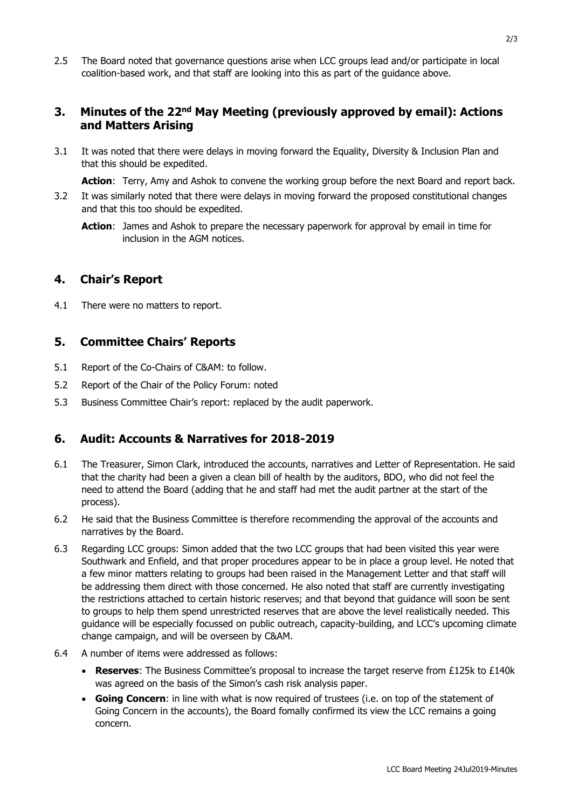2.5 The Board noted that governance questions arise when LCC groups lead and/or participate in local coalition-based work, and that staff are looking into this as part of the guidance above.

### **3.** Minutes of the 22<sup>nd</sup> May Meeting (previously approved by email): Actions **and Matters Arising**

3.1 It was noted that there were delays in moving forward the Equality, Diversity & Inclusion Plan and that this should be expedited.

**Action**: Terry, Amy and Ashok to convene the working group before the next Board and report back.

- 3.2 It was similarly noted that there were delays in moving forward the proposed constitutional changes and that this too should be expedited.
	- **Action**: James and Ashok to prepare the necessary paperwork for approval by email in time for inclusion in the AGM notices.

#### **4. Chair's Report**

4.1 There were no matters to report.

#### **5. Committee Chairs' Reports**

- 5.1 Report of the Co-Chairs of C&AM: to follow.
- 5.2 Report of the Chair of the Policy Forum: noted
- 5.3 Business Committee Chair's report: replaced by the audit paperwork.

## **6. Audit: Accounts & Narratives for 2018-2019**

- 6.1 The Treasurer, Simon Clark, introduced the accounts, narratives and Letter of Representation. He said that the charity had been a given a clean bill of health by the auditors, BDO, who did not feel the need to attend the Board (adding that he and staff had met the audit partner at the start of the process).
- 6.2 He said that the Business Committee is therefore recommending the approval of the accounts and narratives by the Board.
- 6.3 Regarding LCC groups: Simon added that the two LCC groups that had been visited this year were Southwark and Enfield, and that proper procedures appear to be in place a group level. He noted that a few minor matters relating to groups had been raised in the Management Letter and that staff will be addressing them direct with those concerned. He also noted that staff are currently investigating the restrictions attached to certain historic reserves; and that beyond that guidance will soon be sent to groups to help them spend unrestricted reserves that are above the level realistically needed. This guidance will be especially focussed on public outreach, capacity-building, and LCC's upcoming climate change campaign, and will be overseen by C&AM.
- 6.4 A number of items were addressed as follows:
	- **Reserves**: The Business Committee's proposal to increase the target reserve from £125k to £140k was agreed on the basis of the Simon's cash risk analysis paper.
	- **Going Concern**: in line with what is now required of trustees (i.e. on top of the statement of Going Concern in the accounts), the Board fomally confirmed its view the LCC remains a going concern.